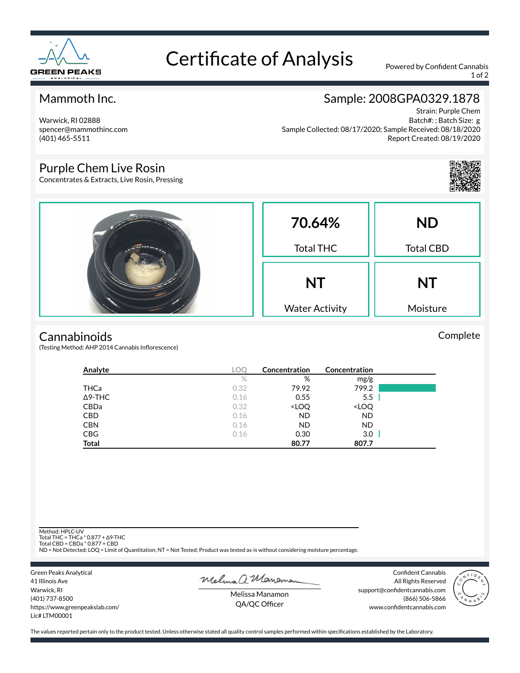

# Certificate of Analysis Powered by Confident Cannabis

1 of 2

## Mammoth Inc.

Warwick, RI 02888 spencer@mammothinc.com (401) 465-5511

## Sample: 2008GPA0329.1878

Strain: Purple Chem Batch#: ; Batch Size: g Sample Collected: 08/17/2020; Sample Received: 08/18/2020 Report Created: 08/19/2020

### Purple Chem Live Rosin

Concentrates & Extracts, Live Rosin, Pressing



Complete

|  | 70.64%<br><b>Total THC</b>         | <b>ND</b><br><b>Total CBD</b> |
|--|------------------------------------|-------------------------------|
|  | <b>NT</b><br><b>Water Activity</b> | <b>NT</b><br>Moisture         |

#### **Cannabinoids**

(Testing Method: AHP 2014 Cannabis Inflorescence)

| Analyte        | <b>LOC</b> | Concentration                                            | Concentration                |  |
|----------------|------------|----------------------------------------------------------|------------------------------|--|
|                | $\%$       | %                                                        | mg/g                         |  |
| <b>THCa</b>    | 0.32       | 79.92                                                    | 799.2                        |  |
| $\Delta$ 9-THC | 0.16       | 0.55                                                     | 5.5                          |  |
| CBDa           | 0.32       | <loq< th=""><th><loq< th=""><th></th></loq<></th></loq<> | <loq< th=""><th></th></loq<> |  |
| <b>CBD</b>     | 0.16       | <b>ND</b>                                                | <b>ND</b>                    |  |
| <b>CBN</b>     | 0.16       | <b>ND</b>                                                | ND.                          |  |
| <b>CBG</b>     | 0.16       | 0.30                                                     | 3.0                          |  |
| <b>Total</b>   |            | 80.77                                                    | 807.7                        |  |

Method: HPLC-UV

Total THC = THCa \* 0.877 + ∆9-THC Total CBD = CBDa \* 0.877 + CBD

ND = Not Detected; LOQ = Limit of Quantitation; NT = Not Tested; Product was tested as-is without considering moisture percentage.

Green Peaks Analytical 41 Illinois Ave Warwick, RI (401) 737-8500 https://www.greenpeakslab.com/ Lic# LTM00001

Melma a Maneman

Confident Cannabis All Rights Reserved support@confidentcannabis.com (866) 506-5866 www.confidentcannabis.com



Melissa Manamon QA/QC Officer

The values reported pertain only to the product tested. Unless otherwise stated all quality control samples performed within specifications established by the Laboratory.